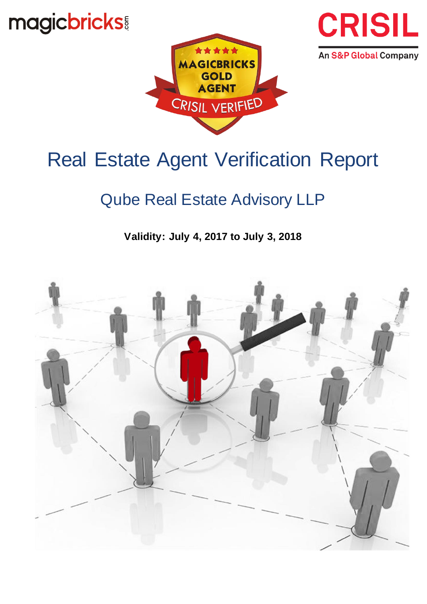magicbricks





# Real Estate Agent Verification Report

# Qube Real Estate Advisory LLP

**Validity: July 4, 2017 to July 3, 2018**

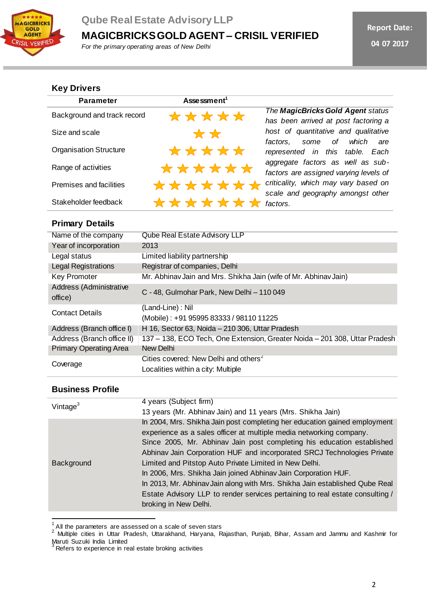

## **Qube Real Estate Advisory LLP**

**MAGICBRICKS GOLD AGENT – CRISIL VERIFIED**

*For the primary operating areas of New Delhi*

### **Key Drivers**

| <b>Parameter</b>              | Assessment <sup>1</sup> |                                                                             |
|-------------------------------|-------------------------|-----------------------------------------------------------------------------|
| Background and track record   | *****                   | The MagicBricks Gold Agent status<br>has been arrived at post factoring a   |
| Size and scale                | $\star \star$           | host of quantitative and qualitative<br>some of which are<br>factors.       |
| <b>Organisation Structure</b> | *****                   | represented in this table. Each                                             |
| Range of activities           | ******                  | aggregate factors as well as sub-<br>factors are assigned varying levels of |
| Premises and facilities       | *******                 | criticality, which may vary based on<br>scale and geography amongst other   |
| Stakeholder feedback          | *******                 | factors.                                                                    |

### **Primary Details**

| Name of the company                | Qube Real Estate Advisory LLP                                              |
|------------------------------------|----------------------------------------------------------------------------|
| Year of incorporation              | 2013                                                                       |
| Legal status                       | Limited liability partnership                                              |
| <b>Legal Registrations</b>         | Registrar of companies, Delhi                                              |
| <b>Key Promoter</b>                | Mr. Abhinav Jain and Mrs. Shikha Jain (wife of Mr. Abhinav Jain)           |
| Address (Administrative<br>office) | C - 48, Gulmohar Park, New Delhi - 110 049                                 |
| <b>Contact Details</b>             | (Land-Line): Nil                                                           |
|                                    | (Mobile): +91 95995 83333 / 98110 11225                                    |
| Address (Branch office I)          | H 16, Sector 63, Noida - 210 306, Uttar Pradesh                            |
| Address (Branch office II)         | 137 - 138, ECO Tech, One Extension, Greater Noida - 201 308, Uttar Pradesh |
| <b>Primary Operating Area</b>      | New Delhi                                                                  |
| Coverage                           | Cities covered: New Delhi and others <sup>2</sup>                          |
|                                    | Localities within a city: Multiple                                         |

#### **Business Profile**

| Vintage <sup>3</sup> | 4 years (Subject firm)<br>13 years (Mr. Abhinav Jain) and 11 years (Mrs. Shikha Jain)                                                                                                                                                                                                                                                                                                                                                                                                                                                                                                                                      |
|----------------------|----------------------------------------------------------------------------------------------------------------------------------------------------------------------------------------------------------------------------------------------------------------------------------------------------------------------------------------------------------------------------------------------------------------------------------------------------------------------------------------------------------------------------------------------------------------------------------------------------------------------------|
| Background           | In 2004, Mrs. Shikha Jain post completing her education gained employment<br>experience as a sales officer at multiple media networking company.<br>Since 2005, Mr. Abhinav Jain post completing his education established<br>Abhinav Jain Corporation HUF and incorporated SRCJ Technologies Private<br>Limited and Pitstop Auto Private Limited in New Delhi.<br>In 2006, Mrs. Shikha Jain joined Abhinav Jain Corporation HUF.<br>In 2013, Mr. Abhinav Jain along with Mrs. Shikha Jain established Qube Real<br>Estate Advisory LLP to render services pertaining to real estate consulting /<br>broking in New Delhi. |

<sup>&</sup>lt;u>.</u><br><sup>1</sup> All the parameters are assessed on a scale of seven stars<br><sup>2</sup> Multiple cities in Uttar Pradesh, Uttarakhand, Haryana, Rajasthan, Punjab, Bihar, Assam and Jammu and Kashmir for Maruti Suzuki India Limited

 $\beta$  Refers to experience in real estate broking activities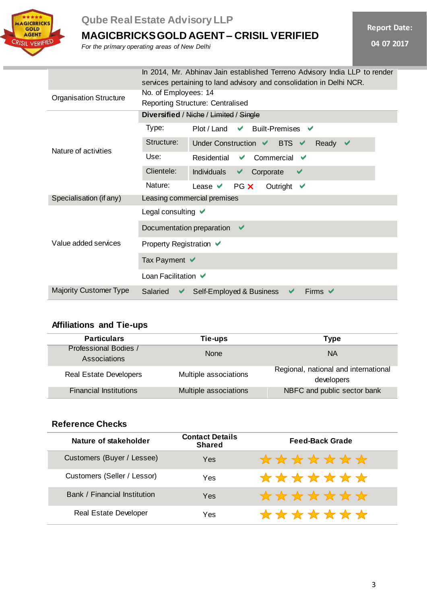

# **Qube Real Estate Advisory LLP**

**MAGICBRICKS GOLD AGENT – CRISIL VERIFIED**

*For the primary operating areas of New Delhi*

|  | <b>Report Date:</b> |  |
|--|---------------------|--|

**04 07 2017**

|                               | In 2014, Mr. Abhinav Jain established Terreno Advisory India LLP to render<br>services pertaining to land advisory and consolidation in Delhi NCR. |  |
|-------------------------------|----------------------------------------------------------------------------------------------------------------------------------------------------|--|
| <b>Organisation Structure</b> | No. of Employees: 14<br><b>Reporting Structure: Centralised</b>                                                                                    |  |
|                               | Diversified / Niche / Limited / Single                                                                                                             |  |
| Nature of activities          | Type:<br>Plot / Land<br><b>Built-Premises</b><br>$\blacktriangledown$<br>$\overline{\phantom{a}}$                                                  |  |
|                               | Structure:<br>Under Construction V BTS V<br>Ready<br>$\blacktriangledown$                                                                          |  |
|                               | Use:<br>Commercial<br>Residential<br>✔<br>✔                                                                                                        |  |
|                               | Clientele:<br><b>Individuals</b><br>Corporate<br>$\blacktriangledown$<br>✔                                                                         |  |
|                               | Nature:<br>PG X<br>Outright<br>Lease $\vee$<br>$\blacktriangledown$                                                                                |  |
| Specialisation (if any)       | Leasing commercial premises                                                                                                                        |  |
|                               | Legal consulting $\vee$                                                                                                                            |  |
| Value added services          | Documentation preparation<br>$\checkmark$                                                                                                          |  |
|                               | Property Registration $\vee$                                                                                                                       |  |
|                               | Tax Payment $\blacktriangledown$                                                                                                                   |  |
|                               | Loan Facilitation ✔                                                                                                                                |  |
| <b>Majority Customer Type</b> | Firms $\vee$<br>Salaried<br>Self-Employed & Business<br>✔<br>✔                                                                                     |  |

### **Affiliations and Tie-ups**

| <b>Particulars</b>                    | Tie-ups               | Type                                               |
|---------------------------------------|-----------------------|----------------------------------------------------|
| Professional Bodies /<br>Associations | <b>None</b>           | <b>NA</b>                                          |
| <b>Real Estate Developers</b>         | Multiple associations | Regional, national and international<br>developers |
| <b>Financial Institutions</b>         | Multiple associations | NBFC and public sector bank                        |

# **Reference Checks**

| Nature of stakeholder        | <b>Contact Details</b><br><b>Shared</b> | Feed-Back Grade |
|------------------------------|-----------------------------------------|-----------------|
| Customers (Buyer / Lessee)   | Yes                                     | *******         |
| Customers (Seller / Lessor)  | Yes                                     | *******         |
| Bank / Financial Institution | Yes                                     | *******         |
| <b>Real Estate Developer</b> | Yes                                     | *******         |